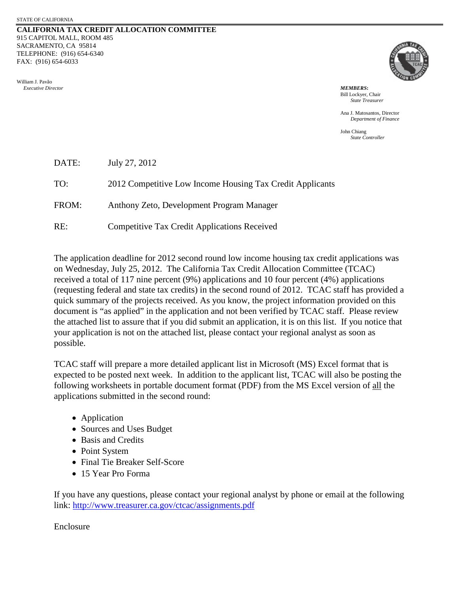### **CALIFORNIA TAX CREDIT ALLOCATION COMMITTEE** 915 CAPITOL MALL, ROOM 485 SACRAMENTO, CA 95814 TELEPHONE: (916) 654-6340 FAX: (916) 654-6033

William J. Pavão  *Executive Director MEMBERS***:**



Bill Lockyer, Chair *State Treasurer*

Ana J. Matosantos, Director *Department of Finance*

John Chiang *State Controller*

| DATE: | July 27, 2012                                             |
|-------|-----------------------------------------------------------|
| TO:   | 2012 Competitive Low Income Housing Tax Credit Applicants |
| FROM: | Anthony Zeto, Development Program Manager                 |
| RE:   | <b>Competitive Tax Credit Applications Received</b>       |

The application deadline for 2012 second round low income housing tax credit applications was on Wednesday, July 25, 2012. The California Tax Credit Allocation Committee (TCAC) received a total of 117 nine percent (9%) applications and 10 four percent (4%) applications (requesting federal and state tax credits) in the second round of 2012. TCAC staff has provided a quick summary of the projects received. As you know, the project information provided on this document is "as applied" in the application and not been verified by TCAC staff. Please review the attached list to assure that if you did submit an application, it is on this list. If you notice that your application is not on the attached list, please contact your regional analyst as soon as possible.

TCAC staff will prepare a more detailed applicant list in Microsoft (MS) Excel format that is expected to be posted next week. In addition to the applicant list, TCAC will also be posting the following worksheets in portable document format (PDF) from the MS Excel version of all the applications submitted in the second round:

- Application
- Sources and Uses Budget
- Basis and Credits
- Point System
- Final Tie Breaker Self-Score
- 15 Year Pro Forma

If you have any questions, please contact your regional analyst by phone or email at the following link:<http://www.treasurer.ca.gov/ctcac/assignments.pdf>

Enclosure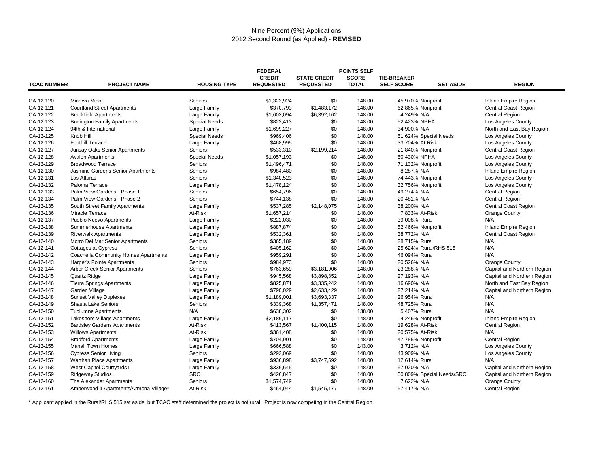## Nine Percent (9%) Applications 2012 Second Round (as Applied) - **REVISED**

| <b>TCAC NUMBER</b> | <b>PROJECT NAME</b>                     | <b>HOUSING TYPE</b>  | <b>FEDERAL</b><br><b>CREDIT</b><br><b>REQUESTED</b> | <b>STATE CREDIT</b><br><b>REQUESTED</b> | <b>POINTS SELF</b><br><b>SCORE</b><br><b>TOTAL</b> | <b>TIE-BREAKER</b><br><b>SELF SCORE</b> | <b>SET ASIDE</b>          | <b>REGION</b>               |
|--------------------|-----------------------------------------|----------------------|-----------------------------------------------------|-----------------------------------------|----------------------------------------------------|-----------------------------------------|---------------------------|-----------------------------|
| CA-12-120          | Minerva Minor                           | Seniors              | \$1,323,924                                         | \$0                                     | 148.00                                             | 45.970% Nonprofit                       |                           | <b>Inland Empire Region</b> |
| CA-12-121          | <b>Courtland Street Apartments</b>      | Large Family         | \$370,793                                           | \$1,483,172                             | 148.00                                             | 62.865% Nonprofit                       |                           | Central Coast Region        |
| CA-12-122          | <b>Brookfield Apartments</b>            | Large Family         | \$1,603,094                                         | \$6,392,162                             | 148.00                                             | 4.249% N/A                              |                           | <b>Central Region</b>       |
| CA-12-123          | <b>Burlington Family Apartments</b>     | <b>Special Needs</b> | \$822,413                                           | \$0                                     | 148.00                                             | 52.423% NPHA                            |                           | Los Angeles County          |
| CA-12-124          | 94th & International                    | Large Family         | \$1,699,227                                         | \$0                                     | 148.00                                             | 34.900% N/A                             |                           | North and East Bay Region   |
| CA-12-125          | Knob Hill                               | <b>Special Needs</b> | \$969,406                                           | \$0                                     | 148.00                                             | 51.624% Special Needs                   |                           | Los Angeles County          |
| CA-12-126          | <b>Foothill Terrace</b>                 | Large Family         | \$468,995                                           | \$0                                     | 148.00                                             | 33.704% At-Risk                         |                           | Los Angeles County          |
| CA-12-127          | Junsay Oaks Senior Apartments           | Seniors              | \$533,310                                           | \$2,199,214                             | 148.00                                             | 21.840% Nonprofit                       |                           | Central Coast Region        |
| CA-12-128          | <b>Avalon Apartments</b>                | <b>Special Needs</b> | \$1,057,193                                         | \$0                                     | 148.00                                             | 50.430% NPHA                            |                           | Los Angeles County          |
| CA-12-129          | <b>Broadwood Terrace</b>                | Seniors              | \$1,496,471                                         | \$0                                     | 148.00                                             | 71.132% Nonprofit                       |                           | Los Angeles County          |
| CA-12-130          | Jasmine Gardens Senior Apartments       | Seniors              | \$984,480                                           | \$0                                     | 148.00                                             | 8.287% N/A                              |                           | <b>Inland Empire Region</b> |
| CA-12-131          | Las Alturas                             | Seniors              | \$1,340,523                                         | \$0                                     | 148.00                                             | 74.443% Nonprofit                       |                           | Los Angeles County          |
| CA-12-132          | Paloma Terrace                          | Large Family         | \$1,478,124                                         | \$0                                     | 148.00                                             | 32.756% Nonprofit                       |                           | Los Angeles County          |
| CA-12-133          | Palm View Gardens - Phase 1             | Seniors              | \$654,796                                           | \$0                                     | 148.00                                             | 49.274% N/A                             |                           | Central Region              |
| CA-12-134          | Palm View Gardens - Phase 2             | Seniors              | \$744,138                                           | \$0                                     | 148.00                                             | 20.481% N/A                             |                           | <b>Central Region</b>       |
| CA-12-135          | South Street Family Apartments          | Large Family         | \$537,285                                           | \$2,148,075                             | 148.00                                             | 38.200% N/A                             |                           | <b>Central Coast Region</b> |
| CA-12-136          | Miracle Terrace                         | At-Risk              | \$1,657,214                                         | \$0                                     | 148.00                                             | 7.833% At-Risk                          |                           | <b>Orange County</b>        |
| CA-12-137          | Pueblo Nuevo Apartments                 | Large Family         | \$222,030                                           | \$0                                     | 148.00                                             | 39.008% Rural                           |                           | N/A                         |
| CA-12-138          | Summerhouse Apartments                  | Large Family         | \$887,874                                           | \$0                                     | 148.00                                             | 52.466% Nonprofit                       |                           | <b>Inland Empire Region</b> |
| CA-12-139          | <b>Riverwalk Apartments</b>             | Large Family         | \$532,361                                           | \$0                                     | 148.00                                             | 38.772% N/A                             |                           | <b>Central Coast Region</b> |
| CA-12-140          | Morro Del Mar Senior Apartments         | Seniors              | \$365,189                                           | \$0                                     | 148.00                                             | 28.715% Rural                           |                           | N/A                         |
| CA-12-141          | <b>Cottages at Cypress</b>              | Seniors              | \$405,162                                           | \$0                                     | 148.00                                             | 25.624% Rural/RHS 515                   |                           | N/A                         |
| CA-12-142          | Coachella Community Homes Apartments    | Large Family         | \$959,291                                           | \$0                                     | 148.00                                             | 46.094% Rural                           |                           | N/A                         |
| CA-12-143          | Harper's Pointe Apartments              | Seniors              | \$984,973                                           | \$0                                     | 148.00                                             | 20.526% N/A                             |                           | Orange County               |
| CA-12-144          | <b>Arbor Creek Senior Apartments</b>    | Seniors              | \$763,659                                           | \$3,181,906                             | 148.00                                             | 23.288% N/A                             |                           | Capital and Northern Region |
| CA-12-145          | <b>Quartz Ridge</b>                     | Large Family         | \$945,568                                           | \$3,898,852                             | 148.00                                             | 27.193% N/A                             |                           | Capital and Northern Region |
| CA-12-146          | <b>Tierra Springs Apartments</b>        | Large Family         | \$825,871                                           | \$3,335,242                             | 148.00                                             | 16.690% N/A                             |                           | North and East Bay Region   |
| CA-12-147          | Garden Village                          | Large Family         | \$790,029                                           | \$2,633,429                             | 148.00                                             | 27.214% N/A                             |                           | Capital and Northern Region |
| CA-12-148          | <b>Sunset Valley Duplexes</b>           | Large Family         | \$1,189,001                                         | \$3,693,337                             | 148.00                                             | 26.954% Rural                           |                           | N/A                         |
| CA-12-149          | <b>Shasta Lake Seniors</b>              | Seniors              | \$339.368                                           | \$1,357,471                             | 148.00                                             | 48.725% Rural                           |                           | N/A                         |
| CA-12-150          | <b>Tuolumne Apartments</b>              | N/A                  | \$638,302                                           | \$0                                     | 138.00                                             | 5.407% Rural                            |                           | N/A                         |
| CA-12-151          | Lakeshore Village Apartments            | Large Family         | \$2,186,117                                         | \$0                                     | 148.00                                             | 4.246% Nonprofit                        |                           | <b>Inland Empire Region</b> |
| CA-12-152          | <b>Bardsley Gardens Apartments</b>      | At-Risk              | \$413,567                                           | \$1,400,115                             | 148.00                                             | 19.628% At-Risk                         |                           | Central Region              |
| CA-12-153          | <b>Willows Apartments</b>               | At-Risk              | \$361,408                                           | \$0                                     | 148.00                                             | 20.575% At-Risk                         |                           | N/A                         |
| CA-12-154          | <b>Bradford Apartments</b>              | Large Family         | \$704,901                                           | \$0                                     | 148.00                                             | 47.785% Nonprofit                       |                           | Central Region              |
| CA-12-155          | <b>Manali Town Homes</b>                | Large Family         | \$666,588                                           | \$0                                     | 143.00                                             | 3.712% N/A                              |                           | Los Angeles County          |
| CA-12-156          | <b>Cypress Senior Living</b>            | Seniors              | \$292,069                                           | \$0                                     | 148.00                                             | 43.909% N/A                             |                           | Los Angeles County          |
| CA-12-157          | Warthan Place Apartments                | Large Family         | \$936,898                                           | \$3,747,592                             | 148.00                                             | 12.614% Rural                           |                           | N/A                         |
| CA-12-158          | West Capitol Courtyards I               | Large Family         | \$336,645                                           | \$0                                     | 148.00                                             | 57.020% N/A                             |                           | Capital and Northern Region |
| CA-12-159          | <b>Ridgeway Studios</b>                 | <b>SRO</b>           | \$426,847                                           | \$0                                     | 148.00                                             |                                         | 50.809% Special Needs/SRO | Capital and Northern Region |
| CA-12-160          | The Alexander Apartments                | Seniors              | \$1,574,749                                         | \$0                                     | 148.00                                             | 7.622% N/A                              |                           | Orange County               |
| CA-12-161          | Amberwood II Apartments/Armona Village* | At-Risk              | \$464,944                                           | \$1,545,177                             | 148.00                                             | 57.417% N/A                             |                           | Central Region              |

\* Applicant applied in the Rural/RHS 515 set aside, but TCAC staff determined the project is not rural. Project is now competing in the Central Region.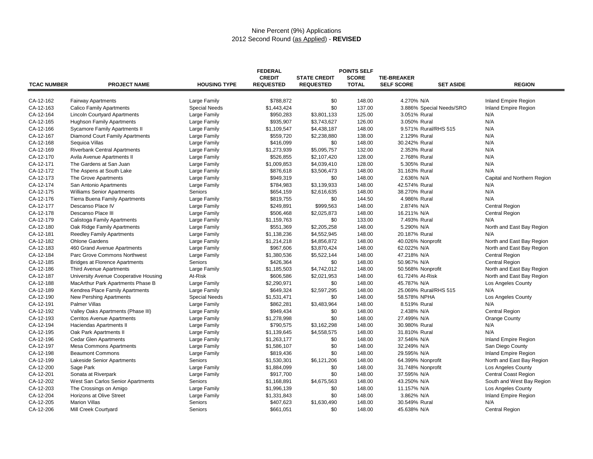#### Nine Percent (9%) Applications 2012 Second Round (as Applied) - **REVISED**

|                    |                                       |                      | <b>FEDERAL</b>   | <b>POINTS SELF</b>  |              |                                       |                             |
|--------------------|---------------------------------------|----------------------|------------------|---------------------|--------------|---------------------------------------|-----------------------------|
|                    |                                       |                      | <b>CREDIT</b>    | <b>STATE CREDIT</b> | <b>SCORE</b> | <b>TIE-BREAKER</b>                    |                             |
| <b>TCAC NUMBER</b> | <b>PROJECT NAME</b>                   | <b>HOUSING TYPE</b>  | <b>REQUESTED</b> | <b>REQUESTED</b>    | <b>TOTAL</b> | <b>SELF SCORE</b><br><b>SET ASIDE</b> | <b>REGION</b>               |
|                    |                                       |                      |                  |                     |              |                                       |                             |
| CA-12-162          | <b>Fairway Apartments</b>             | Large Family         | \$788,872        | \$0                 | 148.00       | 4.270% N/A                            | Inland Empire Region        |
| CA-12-163          | <b>Calico Family Apartments</b>       | <b>Special Needs</b> | \$1,443,424      | \$0                 | 137.00       | 3.886% Special Needs/SRO              | Inland Empire Region        |
| CA-12-164          | <b>Lincoln Courtyard Apartments</b>   | Large Family         | \$950,283        | \$3,801,133         | 125.00       | 3.051% Rural                          | N/A                         |
| CA-12-165          | <b>Hughson Family Apartments</b>      | Large Family         | \$935,907        | \$3,743,627         | 126.00       | 3.050% Rural                          | N/A                         |
| CA-12-166          | Sycamore Family Apartments II         | Large Family         | \$1,109,547      | \$4,438,187         | 148.00       | 9.571% Rural/RHS 515                  | N/A                         |
| CA-12-167          | Diamond Court Family Apartments       | Large Family         | \$559,720        | \$2,238,880         | 138.00       | 2.129% Rural                          | N/A                         |
| CA-12-168          | Sequioa Villas                        | Large Family         | \$416,099        | \$0                 | 148.00       | 30.242% Rural                         | N/A                         |
| CA-12-169          | Riverbank Central Apartments          | Large Family         | \$1,273,939      | \$5,095,757         | 132.00       | 2.353% Rural                          | N/A                         |
| CA-12-170          | Avila Avenue Apartments II            | Large Family         | \$526,855        | \$2,107,420         | 128.00       | 2.768% Rural                          | N/A                         |
| CA-12-171          | The Gardens at San Juan               | Large Family         | \$1,009,853      | \$4,039,410         | 128.00       | 5.305% Rural                          | N/A                         |
| CA-12-172          | The Aspens at South Lake              | Large Family         | \$876,618        | \$3,506,473         | 148.00       | 31.163% Rural                         | N/A                         |
| CA-12-173          | The Grove Apartments                  | Large Family         | \$949,319        | \$0                 | 148.00       | 2.636% N/A                            | Capital and Northern Region |
| CA-12-174          | San Antonio Apartments                | Large Family         | \$784,983        | \$3,139,933         | 148.00       | 42.574% Rural                         | N/A                         |
| CA-12-175          | <b>Williams Senior Apartments</b>     | Seniors              | \$654,159        | \$2,616,635         | 148.00       | 38.270% Rural                         | N/A                         |
| CA-12-176          | <b>Tierra Buena Family Apartments</b> | Large Family         | \$819,755        | \$0                 | 144.50       | 4.986% Rural                          | N/A                         |
| CA-12-177          | Descanso Place IV                     | Large Family         | \$249,891        | \$999,563           | 148.00       | 2.874% N/A                            | <b>Central Region</b>       |
| CA-12-178          | Descanso Place III                    | Large Family         | \$506,468        | \$2,025,873         | 148.00       | 16.211% N/A                           | <b>Central Region</b>       |
| CA-12-179          | Calistoga Family Apartments           | Large Family         | \$1,159,763      | \$0                 | 133.00       | 7.493% Rural                          | N/A                         |
| CA-12-180          | Oak Ridge Family Apartments           | Large Family         | \$551,369        | \$2,205,258         | 148.00       | 5.290% N/A                            | North and East Bay Region   |
| CA-12-181          | Reedley Family Apartments             | Large Family         | \$1,138,236      | \$4,552,945         | 148.00       | 20.187% Rural                         | N/A                         |
| CA-12-182          | <b>Ohlone Gardens</b>                 | Large Family         | \$1,214,218      | \$4,856,872         | 148.00       | 40.026% Nonprofit                     | North and East Bay Region   |
| CA-12-183          | 460 Grand Avenue Apartments           | Large Family         | \$967,606        | \$3,870,424         | 148.00       | 62.022% N/A                           | North and East Bay Region   |
| CA-12-184          | Parc Grove Commons Northwest          | Large Family         | \$1,380,536      | \$5,522,144         | 148.00       | 47.218% N/A                           | <b>Central Region</b>       |
| CA-12-185          | <b>Bridges at Florence Apartments</b> | Seniors              | \$426,364        | \$0                 | 148.00       | 50.967% N/A                           | <b>Central Region</b>       |
| CA-12-186          | <b>Third Avenue Apartments</b>        | Large Family         | \$1,185,503      | \$4,742,012         | 148.00       | 50.568% Nonprofit                     | North and East Bay Region   |
| CA-12-187          | University Avenue Cooperative Housing | At-Risk              | \$606,586        | \$2,021,953         | 148.00       | 61.724% At-Risk                       | North and East Bay Region   |
| CA-12-188          | MacArthur Park Apartments Phase B     | Large Family         | \$2,290,971      | \$0                 | 148.00       | 45.787% N/A                           | <b>Los Angeles County</b>   |
| CA-12-189          | Kendrea Place Family Apartments       | Large Family         | \$649,324        | \$2,597,295         | 148.00       | 25.069% Rural/RHS 515                 | N/A                         |
| CA-12-190          | New Pershing Apartments               | <b>Special Needs</b> | \$1,531,471      | \$0                 | 148.00       | 58.578% NPHA                          | Los Angeles County          |
| CA-12-191          | <b>Palmer Villas</b>                  | Large Family         | \$862,281        | \$3,483,964         | 148.00       | 8.519% Rural                          | N/A                         |
| CA-12-192          | Valley Oaks Apartments (Phase III)    | Large Family         | \$949,434        | \$0                 | 148.00       | 2.438% N/A                            | <b>Central Region</b>       |
| CA-12-193          | Cerritos Avenue Apartments            | Large Family         | \$1,278,998      | \$0                 | 148.00       | 27.499% N/A                           | Orange County               |
| CA-12-194          | Haciendas Apartments II               | Large Family         | \$790,575        | \$3.162.298         | 148.00       | 30.980% Rural                         | N/A                         |
| CA-12-195          | Oak Park Apartments II                | Large Family         | \$1,139,645      | \$4,558,575         | 148.00       | 31.810% Rural                         | N/A                         |
| CA-12-196          | <b>Cedar Glen Apartments</b>          | Large Family         | \$1,263,177      | \$0                 | 148.00       | 37.546% N/A                           | Inland Empire Region        |
| CA-12-197          | <b>Mesa Commons Apartments</b>        | Large Family         | \$1,586,107      | \$0                 | 148.00       | 32.249% N/A                           | San Diego County            |
| CA-12-198          | <b>Beaumont Commons</b>               | Large Family         | \$819,436        | \$0                 | 148.00       | 29.595% N/A                           | Inland Empire Region        |
| CA-12-199          | Lakeside Senior Apartments            | Seniors              | \$1,530,301      | \$6,121,206         | 148.00       | 64.399% Nonprofit                     | North and East Bay Region   |
| CA-12-200          | Sage Park                             | Large Family         | \$1,884,099      | \$0                 | 148.00       | 31.748% Nonprofit                     | <b>Los Angeles County</b>   |
| CA-12-201          | Sonata at Riverpark                   | Large Family         | \$917,700        | \$0                 | 148.00       | 37.595% N/A                           | Central Coast Region        |
| CA-12-202          | West San Carlos Senior Apartments     | Seniors              | \$1,168,891      | \$4,675,563         | 148.00       | 43.250% N/A                           | South and West Bay Region   |
| CA-12-203          | The Crossings on Amigo                | Large Family         | \$1,996,139      | \$0                 | 148.00       | 11.157% N/A                           | <b>Los Angeles County</b>   |
| CA-12-204          | Horizons at Olive Street              | Large Family         | \$1,331,843      | \$0                 | 148.00       | 3.862% N/A                            | Inland Empire Region        |
| CA-12-205          | <b>Marion Villas</b>                  | Seniors              | \$407,623        | \$1,630,490         | 148.00       | 30.549% Rural                         | N/A                         |
| CA-12-206          | Mill Creek Courtyard                  | Seniors              | \$661,051        | \$0                 | 148.00       | 45.638% N/A                           | Central Region              |
|                    |                                       |                      |                  |                     |              |                                       |                             |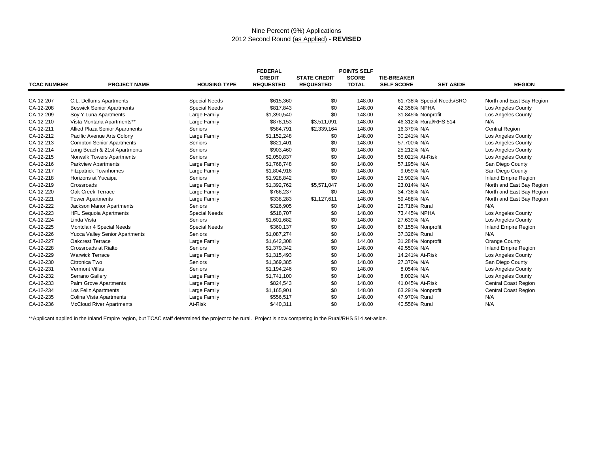## Nine Percent (9%) Applications 2012 Second Round (as Applied) - **REVISED**

|                        |                                  |                      | <b>FEDERAL</b>   |                     | <b>POINTS SELF</b> |                                           |                             |
|------------------------|----------------------------------|----------------------|------------------|---------------------|--------------------|-------------------------------------------|-----------------------------|
|                        |                                  |                      | <b>CREDIT</b>    | <b>STATE CREDIT</b> | <b>SCORE</b>       | <b>TIE-BREAKER</b>                        |                             |
| <b>TCAC NUMBER</b>     | <b>PROJECT NAME</b>              | <b>HOUSING TYPE</b>  | <b>REQUESTED</b> | <b>REQUESTED</b>    | <b>TOTAL</b>       | <b>SELF SCORE</b><br><b>SET ASIDE</b>     | <b>REGION</b>               |
| CA-12-207              |                                  | <b>Special Needs</b> |                  |                     |                    |                                           |                             |
|                        | C.L. Dellums Apartments          |                      | \$615,360        | \$0                 | 148.00<br>148.00   | 61.738% Special Needs/SRO<br>42.356% NPHA | North and East Bay Region   |
| CA-12-208<br>CA-12-209 | <b>Beswick Senior Apartments</b> | <b>Special Needs</b> | \$817,843        | \$0<br>\$0          | 148.00             |                                           | Los Angeles County          |
|                        | Soy Y Luna Apartments            | Large Family         | \$1,390,540      |                     |                    | 31.845% Nonprofit                         | Los Angeles County          |
| CA-12-210              | Vista Montana Apartments**       | Large Family         | \$878,153        | \$3,511,091         | 148.00             | 46.312% Rural/RHS 514                     | N/A                         |
| CA-12-211              | Allied Plaza Senior Apartments   | Seniors              | \$584,791        | \$2,339,164         | 148.00             | 16.379% N/A                               | <b>Central Region</b>       |
| CA-12-212              | Pacific Avenue Arts Colony       | Large Family         | \$1,152,248      | \$0                 | 148.00             | 30.241% N/A                               | Los Angeles County          |
| CA-12-213              | <b>Compton Senior Apartments</b> | Seniors              | \$821,401        | \$0                 | 148.00             | 57.700% N/A                               | Los Angeles County          |
| CA-12-214              | Long Beach & 21st Apartments     | Seniors              | \$903,460        | \$0                 | 148.00             | 25.212% N/A                               | Los Angeles County          |
| CA-12-215              | <b>Norwalk Towers Apartments</b> | Seniors              | \$2,050,837      | \$0                 | 148.00             | 55.021% At-Risk                           | Los Angeles County          |
| CA-12-216              | Parkview Apartments              | Large Family         | \$1,768,748      | \$0                 | 148.00             | 57.195% N/A                               | San Diego County            |
| CA-12-217              | <b>Fitzpatrick Townhomes</b>     | Large Family         | \$1,804,916      | \$0                 | 148.00             | 9.059% N/A                                | San Diego County            |
| CA-12-218              | Horizons at Yucaipa              | Seniors              | \$1,928,842      | \$0                 | 148.00             | 25.902% N/A                               | Inland Empire Region        |
| CA-12-219              | Crossroads                       | Large Family         | \$1,392,762      | \$5,571,047         | 148.00             | 23.014% N/A                               | North and East Bay Region   |
| CA-12-220              | Oak Creek Terrace                | Large Family         | \$766,237        | \$0                 | 148.00             | 34.738% N/A                               | North and East Bay Region   |
| CA-12-221              | <b>Tower Apartments</b>          | Large Family         | \$338,283        | \$1,127,611         | 148.00             | 59.488% N/A                               | North and East Bay Region   |
| CA-12-222              | Jackson Manor Apartments         | Seniors              | \$326,905        | \$0                 | 148.00             | 25.716% Rural                             | N/A                         |
| CA-12-223              | <b>HFL Sequoia Apartments</b>    | <b>Special Needs</b> | \$518,707        | \$0                 | 148.00             | 73.445% NPHA                              | Los Angeles County          |
| CA-12-224              | Linda Vista                      | Seniors              | \$1,601,682      | \$0                 | 148.00             | 27.639% N/A                               | <b>Los Angeles County</b>   |
| CA-12-225              | Montclair 4 Special Needs        | <b>Special Needs</b> | \$360,137        | \$0                 | 148.00             | 67.155% Nonprofit                         | Inland Empire Region        |
| CA-12-226              | Yucca Valley Senior Apartments   | Seniors              | \$1,087,274      | \$0                 | 148.00             | 37.326% Rural                             | N/A                         |
| CA-12-227              | <b>Oakcrest Terrace</b>          | Large Family         | \$1,642,308      | \$0                 | 144.00             | 31.284% Nonprofit                         | Orange County               |
| CA-12-228              | Crossroads at Rialto             | Seniors              | \$1,379,342      | \$0                 | 148.00             | 49.550% N/A                               | Inland Empire Region        |
| CA-12-229              | <b>Warwick Terrace</b>           | Large Family         | \$1,315,493      | \$0                 | 148.00             | 14.241% At-Risk                           | Los Angeles County          |
| CA-12-230              | Citronica Two                    | Seniors              | \$1,369,385      | \$0                 | 148.00             | 27.370% N/A                               | San Diego County            |
| CA-12-231              | <b>Vermont Villas</b>            | Seniors              | \$1,194,246      | \$0                 | 148.00             | 8.054% N/A                                | Los Angeles County          |
| CA-12-232              | Serrano Gallery                  | Large Family         | \$1,741,100      | \$0                 | 148.00             | 8.002% N/A                                | Los Angeles County          |
| CA-12-233              | Palm Grove Apartments            | Large Family         | \$824,543        | \$0                 | 148.00             | 41.045% At-Risk                           | <b>Central Coast Region</b> |
| CA-12-234              | Los Feliz Apartments             | Large Family         | \$1,165,901      | \$0                 | 148.00             | 63.291% Nonprofit                         | <b>Central Coast Region</b> |
| CA-12-235              | Colina Vista Apartments          | Large Family         | \$556,517        | \$0                 | 148.00             | 47.970% Rural                             | N/A                         |
| CA-12-236              | <b>McCloud River Apartments</b>  | At-Risk              | \$440,311        | \$0                 | 148.00             | 40.556% Rural                             | N/A                         |

\*\*Applicant applied in the Inland Empire region, but TCAC staff determined the project to be rural. Project is now competing in the Rural/RHS 514 set-aside.